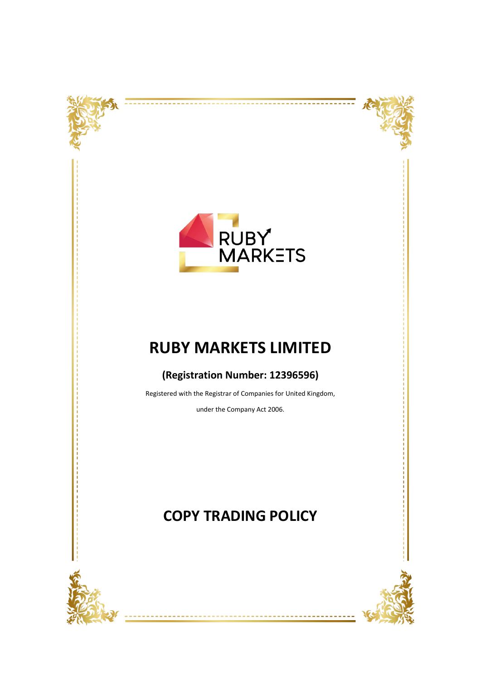



----------

--------



## **RUBY MARKETS LIMITED**

### **(Registration Number: 12396596)**

Registered with the Registrar of Companies for United Kingdom,

under the Company Act 2006.



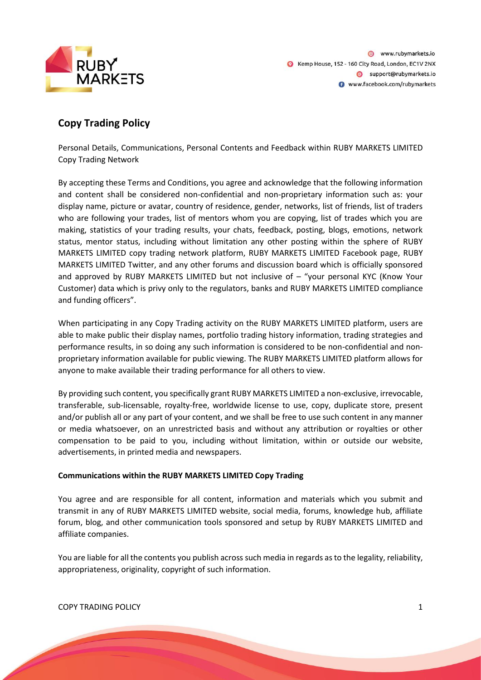

### **Copy Trading Policy**

Personal Details, Communications, Personal Contents and Feedback within RUBY MARKETS LIMITED Copy Trading Network

By accepting these Terms and Conditions, you agree and acknowledge that the following information and content shall be considered non-confidential and non-proprietary information such as: your display name, picture or avatar, country of residence, gender, networks, list of friends, list of traders who are following your trades, list of mentors whom you are copying, list of trades which you are making, statistics of your trading results, your chats, feedback, posting, blogs, emotions, network status, mentor status, including without limitation any other posting within the sphere of RUBY MARKETS LIMITED copy trading network platform, RUBY MARKETS LIMITED Facebook page, RUBY MARKETS LIMITED Twitter, and any other forums and discussion board which is officially sponsored and approved by RUBY MARKETS LIMITED but not inclusive of – "your personal KYC (Know Your Customer) data which is privy only to the regulators, banks and RUBY MARKETS LIMITED compliance and funding officers".

When participating in any Copy Trading activity on the RUBY MARKETS LIMITED platform, users are able to make public their display names, portfolio trading history information, trading strategies and performance results, in so doing any such information is considered to be non-confidential and nonproprietary information available for public viewing. The RUBY MARKETS LIMITED platform allows for anyone to make available their trading performance for all others to view.

By providing such content, you specifically grant RUBY MARKETS LIMITED a non-exclusive, irrevocable, transferable, sub-licensable, royalty-free, worldwide license to use, copy, duplicate store, present and/or publish all or any part of your content, and we shall be free to use such content in any manner or media whatsoever, on an unrestricted basis and without any attribution or royalties or other compensation to be paid to you, including without limitation, within or outside our website, advertisements, in printed media and newspapers.

#### **Communications within the RUBY MARKETS LIMITED Copy Trading**

You agree and are responsible for all content, information and materials which you submit and transmit in any of RUBY MARKETS LIMITED website, social media, forums, knowledge hub, affiliate forum, blog, and other communication tools sponsored and setup by RUBY MARKETS LIMITED and affiliate companies.

You are liable for all the contents you publish across such media in regards as to the legality, reliability, appropriateness, originality, copyright of such information.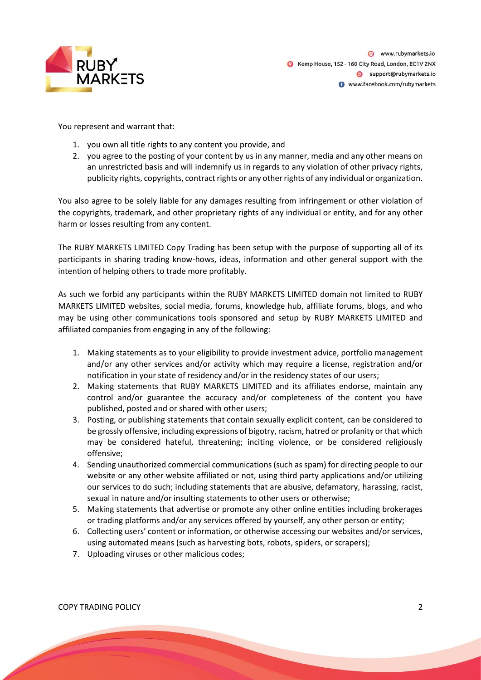

You represent and warrant that:

- 1. you own all title rights to any content you provide, and
- 2. you agree to the posting of your content by us in any manner, media and any other means on an unrestricted basis and will indemnify us in regards to any violation of other privacy rights, publicity rights, copyrights, contract rights or any other rights of any individual or organization.

You also agree to be solely liable for any damages resulting from infringement or other violation of the copyrights, trademark, and other proprietary rights of any individual or entity, and for any other harm or losses resulting from any content.

The RUBY MARKETS LIMITED Copy Trading has been setup with the purpose of supporting all of its participants in sharing trading know-hows, ideas, information and other general support with the intention of helping others to trade more profitably.

As such we forbid any participants within the RUBY MARKETS LIMITED domain not limited to RUBY MARKETS LIMITED websites, social media, forums, knowledge hub, affiliate forums, blogs, and who may be using other communications tools sponsored and setup by RUBY MARKETS LIMITED and affiliated companies from engaging in any of the following:

- 1. Making statements as to your eligibility to provide investment advice, portfolio management and/or any other services and/or activity which may require a license, registration and/or notification in your state of residency and/or in the residency states of our users;
- 2. Making statements that RUBY MARKETS LIMITED and its affiliates endorse, maintain any control and/or guarantee the accuracy and/or completeness of the content you have published, posted and or shared with other users;
- 3. Posting, or publishing statements that contain sexually explicit content, can be considered to be grossly offensive, including expressions of bigotry, racism, hatred or profanity or that which may be considered hateful, threatening; inciting violence, or be considered religiously offensive;
- 4. Sending unauthorized commercial communications (such as spam) for directing people to our website or any other website affiliated or not, using third party applications and/or utilizing our services to do such; including statements that are abusive, defamatory, harassing, racist, sexual in nature and/or insulting statements to other users or otherwise;
- 5. Making statements that advertise or promote any other online entities including brokerages or trading platforms and/or any services offered by yourself, any other person or entity;
- 6. Collecting users' content or information, or otherwise accessing our websites and/or services, using automated means (such as harvesting bots, robots, spiders, or scrapers);
- 7. Uploading viruses or other malicious codes;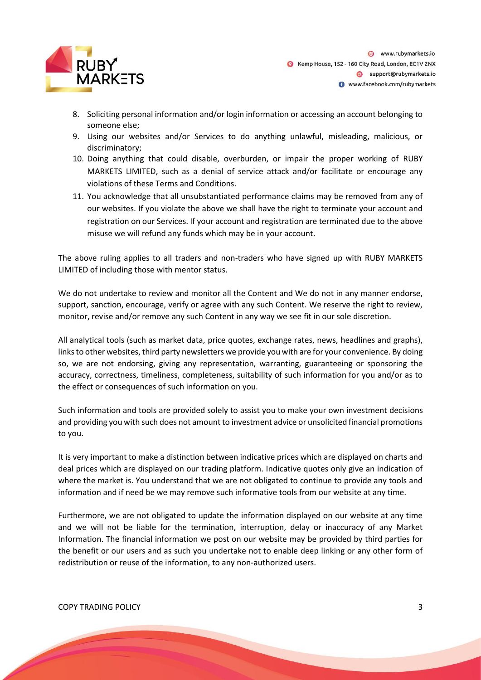

- 8. Soliciting personal information and/or login information or accessing an account belonging to someone else;
- 9. Using our websites and/or Services to do anything unlawful, misleading, malicious, or discriminatory;
- 10. Doing anything that could disable, overburden, or impair the proper working of RUBY MARKETS LIMITED, such as a denial of service attack and/or facilitate or encourage any violations of these Terms and Conditions.
- 11. You acknowledge that all unsubstantiated performance claims may be removed from any of our websites. If you violate the above we shall have the right to terminate your account and registration on our Services. If your account and registration are terminated due to the above misuse we will refund any funds which may be in your account.

The above ruling applies to all traders and non-traders who have signed up with RUBY MARKETS LIMITED of including those with mentor status.

We do not undertake to review and monitor all the Content and We do not in any manner endorse, support, sanction, encourage, verify or agree with any such Content. We reserve the right to review, monitor, revise and/or remove any such Content in any way we see fit in our sole discretion.

All analytical tools (such as market data, price quotes, exchange rates, news, headlines and graphs), links to other websites, third party newsletters we provide you with are for your convenience. By doing so, we are not endorsing, giving any representation, warranting, guaranteeing or sponsoring the accuracy, correctness, timeliness, completeness, suitability of such information for you and/or as to the effect or consequences of such information on you.

Such information and tools are provided solely to assist you to make your own investment decisions and providing you with such does not amount to investment advice or unsolicited financial promotions to you.

It is very important to make a distinction between indicative prices which are displayed on charts and deal prices which are displayed on our trading platform. Indicative quotes only give an indication of where the market is. You understand that we are not obligated to continue to provide any tools and information and if need be we may remove such informative tools from our website at any time.

Furthermore, we are not obligated to update the information displayed on our website at any time and we will not be liable for the termination, interruption, delay or inaccuracy of any Market Information. The financial information we post on our website may be provided by third parties for the benefit or our users and as such you undertake not to enable deep linking or any other form of redistribution or reuse of the information, to any non-authorized users.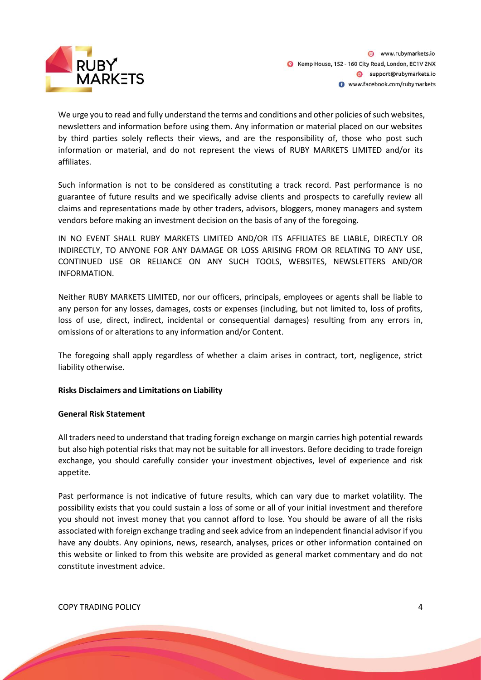

We urge you to read and fully understand the terms and conditions and other policies of such websites, newsletters and information before using them. Any information or material placed on our websites by third parties solely reflects their views, and are the responsibility of, those who post such information or material, and do not represent the views of RUBY MARKETS LIMITED and/or its affiliates.

Such information is not to be considered as constituting a track record. Past performance is no guarantee of future results and we specifically advise clients and prospects to carefully review all claims and representations made by other traders, advisors, bloggers, money managers and system vendors before making an investment decision on the basis of any of the foregoing.

IN NO EVENT SHALL RUBY MARKETS LIMITED AND/OR ITS AFFILIATES BE LIABLE, DIRECTLY OR INDIRECTLY, TO ANYONE FOR ANY DAMAGE OR LOSS ARISING FROM OR RELATING TO ANY USE, CONTINUED USE OR RELIANCE ON ANY SUCH TOOLS, WEBSITES, NEWSLETTERS AND/OR INFORMATION.

Neither RUBY MARKETS LIMITED, nor our officers, principals, employees or agents shall be liable to any person for any losses, damages, costs or expenses (including, but not limited to, loss of profits, loss of use, direct, indirect, incidental or consequential damages) resulting from any errors in, omissions of or alterations to any information and/or Content.

The foregoing shall apply regardless of whether a claim arises in contract, tort, negligence, strict liability otherwise.

#### **Risks Disclaimers and Limitations on Liability**

#### **General Risk Statement**

All traders need to understand that trading foreign exchange on margin carries high potential rewards but also high potential risks that may not be suitable for all investors. Before deciding to trade foreign exchange, you should carefully consider your investment objectives, level of experience and risk appetite.

Past performance is not indicative of future results, which can vary due to market volatility. The possibility exists that you could sustain a loss of some or all of your initial investment and therefore you should not invest money that you cannot afford to lose. You should be aware of all the risks associated with foreign exchange trading and seek advice from an independent financial advisor if you have any doubts. Any opinions, news, research, analyses, prices or other information contained on this website or linked to from this website are provided as general market commentary and do not constitute investment advice.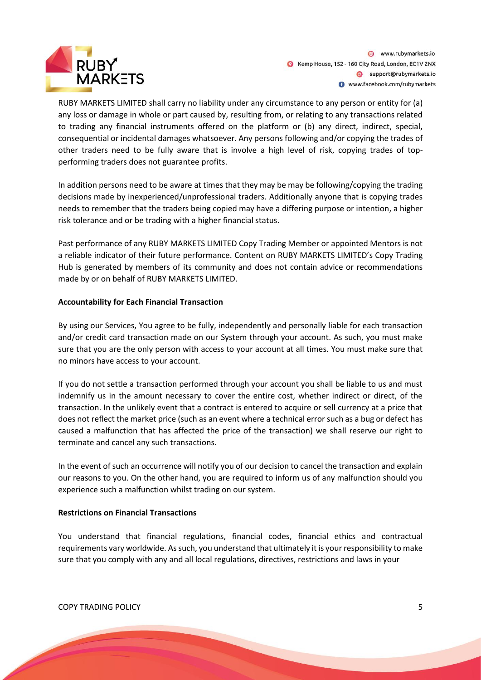

RUBY MARKETS LIMITED shall carry no liability under any circumstance to any person or entity for (a) any loss or damage in whole or part caused by, resulting from, or relating to any transactions related to trading any financial instruments offered on the platform or (b) any direct, indirect, special, consequential or incidental damages whatsoever. Any persons following and/or copying the trades of other traders need to be fully aware that is involve a high level of risk, copying trades of topperforming traders does not guarantee profits.

In addition persons need to be aware at times that they may be may be following/copying the trading decisions made by inexperienced/unprofessional traders. Additionally anyone that is copying trades needs to remember that the traders being copied may have a differing purpose or intention, a higher risk tolerance and or be trading with a higher financial status.

Past performance of any RUBY MARKETS LIMITED Copy Trading Member or appointed Mentors is not a reliable indicator of their future performance. Content on RUBY MARKETS LIMITED's Copy Trading Hub is generated by members of its community and does not contain advice or recommendations made by or on behalf of RUBY MARKETS LIMITED.

#### **Accountability for Each Financial Transaction**

By using our Services, You agree to be fully, independently and personally liable for each transaction and/or credit card transaction made on our System through your account. As such, you must make sure that you are the only person with access to your account at all times. You must make sure that no minors have access to your account.

If you do not settle a transaction performed through your account you shall be liable to us and must indemnify us in the amount necessary to cover the entire cost, whether indirect or direct, of the transaction. In the unlikely event that a contract is entered to acquire or sell currency at a price that does not reflect the market price (such as an event where a technical error such as a bug or defect has caused a malfunction that has affected the price of the transaction) we shall reserve our right to terminate and cancel any such transactions.

In the event of such an occurrence will notify you of our decision to cancel the transaction and explain our reasons to you. On the other hand, you are required to inform us of any malfunction should you experience such a malfunction whilst trading on our system.

#### **Restrictions on Financial Transactions**

You understand that financial regulations, financial codes, financial ethics and contractual requirements vary worldwide. As such, you understand that ultimately it is your responsibility to make sure that you comply with any and all local regulations, directives, restrictions and laws in your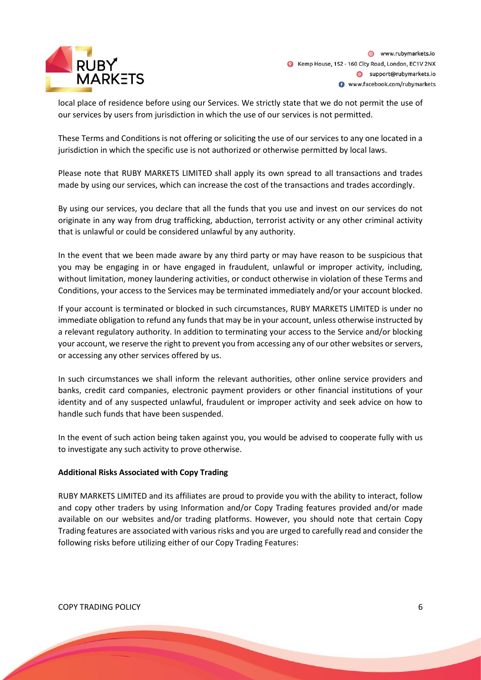

local place of residence before using our Services. We strictly state that we do not permit the use of our services by users from jurisdiction in which the use of our services is not permitted.

These Terms and Conditions is not offering or soliciting the use of our services to any one located in a jurisdiction in which the specific use is not authorized or otherwise permitted by local laws.

Please note that RUBY MARKETS LIMITED shall apply its own spread to all transactions and trades made by using our services, which can increase the cost of the transactions and trades accordingly.

By using our services, you declare that all the funds that you use and invest on our services do not originate in any way from drug trafficking, abduction, terrorist activity or any other criminal activity that is unlawful or could be considered unlawful by any authority.

In the event that we been made aware by any third party or may have reason to be suspicious that you may be engaging in or have engaged in fraudulent, unlawful or improper activity, including, without limitation, money laundering activities, or conduct otherwise in violation of these Terms and Conditions, your access to the Services may be terminated immediately and/or your account blocked.

If your account is terminated or blocked in such circumstances, RUBY MARKETS LIMITED is under no immediate obligation to refund any funds that may be in your account, unless otherwise instructed by a relevant regulatory authority. In addition to terminating your access to the Service and/or blocking your account, we reserve the right to prevent you from accessing any of our other websites or servers, or accessing any other services offered by us.

In such circumstances we shall inform the relevant authorities, other online service providers and banks, credit card companies, electronic payment providers or other financial institutions of your identity and of any suspected unlawful, fraudulent or improper activity and seek advice on how to handle such funds that have been suspended.

In the event of such action being taken against you, you would be advised to cooperate fully with us to investigate any such activity to prove otherwise.

#### **Additional Risks Associated with Copy Trading**

RUBY MARKETS LIMITED and its affiliates are proud to provide you with the ability to interact, follow and copy other traders by using Information and/or Copy Trading features provided and/or made available on our websites and/or trading platforms. However, you should note that certain Copy Trading features are associated with various risks and you are urged to carefully read and consider the following risks before utilizing either of our Copy Trading Features: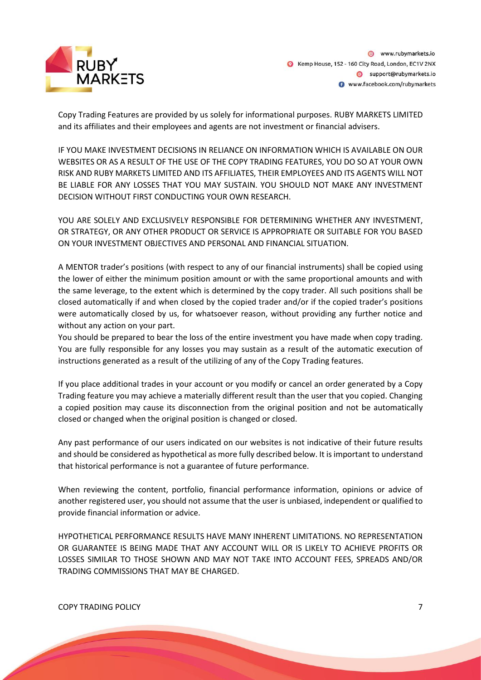

Copy Trading Features are provided by us solely for informational purposes. RUBY MARKETS LIMITED and its affiliates and their employees and agents are not investment or financial advisers.

IF YOU MAKE INVESTMENT DECISIONS IN RELIANCE ON INFORMATION WHICH IS AVAILABLE ON OUR WEBSITES OR AS A RESULT OF THE USE OF THE COPY TRADING FEATURES, YOU DO SO AT YOUR OWN RISK AND RUBY MARKETS LIMITED AND ITS AFFILIATES, THEIR EMPLOYEES AND ITS AGENTS WILL NOT BE LIABLE FOR ANY LOSSES THAT YOU MAY SUSTAIN. YOU SHOULD NOT MAKE ANY INVESTMENT DECISION WITHOUT FIRST CONDUCTING YOUR OWN RESEARCH.

YOU ARE SOLELY AND EXCLUSIVELY RESPONSIBLE FOR DETERMINING WHETHER ANY INVESTMENT, OR STRATEGY, OR ANY OTHER PRODUCT OR SERVICE IS APPROPRIATE OR SUITABLE FOR YOU BASED ON YOUR INVESTMENT OBJECTIVES AND PERSONAL AND FINANCIAL SITUATION.

A MENTOR trader's positions (with respect to any of our financial instruments) shall be copied using the lower of either the minimum position amount or with the same proportional amounts and with the same leverage, to the extent which is determined by the copy trader. All such positions shall be closed automatically if and when closed by the copied trader and/or if the copied trader's positions were automatically closed by us, for whatsoever reason, without providing any further notice and without any action on your part.

You should be prepared to bear the loss of the entire investment you have made when copy trading. You are fully responsible for any losses you may sustain as a result of the automatic execution of instructions generated as a result of the utilizing of any of the Copy Trading features.

If you place additional trades in your account or you modify or cancel an order generated by a Copy Trading feature you may achieve a materially different result than the user that you copied. Changing a copied position may cause its disconnection from the original position and not be automatically closed or changed when the original position is changed or closed.

Any past performance of our users indicated on our websites is not indicative of their future results and should be considered as hypothetical as more fully described below. It is important to understand that historical performance is not a guarantee of future performance.

When reviewing the content, portfolio, financial performance information, opinions or advice of another registered user, you should not assume that the user is unbiased, independent or qualified to provide financial information or advice.

HYPOTHETICAL PERFORMANCE RESULTS HAVE MANY INHERENT LIMITATIONS. NO REPRESENTATION OR GUARANTEE IS BEING MADE THAT ANY ACCOUNT WILL OR IS LIKELY TO ACHIEVE PROFITS OR LOSSES SIMILAR TO THOSE SHOWN AND MAY NOT TAKE INTO ACCOUNT FEES, SPREADS AND/OR TRADING COMMISSIONS THAT MAY BE CHARGED.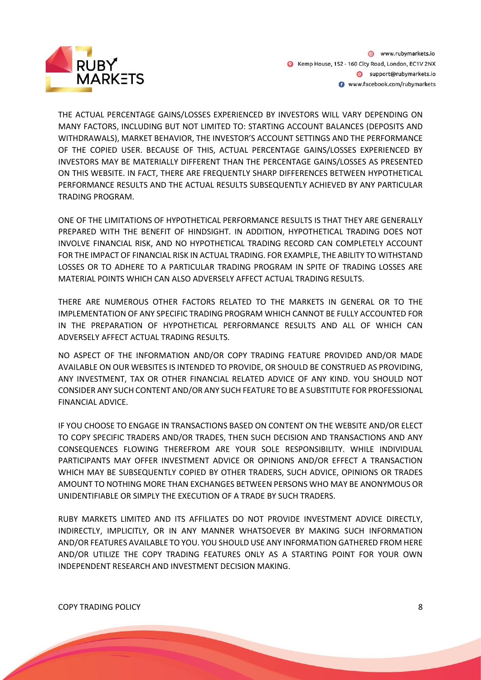

THE ACTUAL PERCENTAGE GAINS/LOSSES EXPERIENCED BY INVESTORS WILL VARY DEPENDING ON MANY FACTORS, INCLUDING BUT NOT LIMITED TO: STARTING ACCOUNT BALANCES (DEPOSITS AND WITHDRAWALS), MARKET BEHAVIOR, THE INVESTOR'S ACCOUNT SETTINGS AND THE PERFORMANCE OF THE COPIED USER. BECAUSE OF THIS, ACTUAL PERCENTAGE GAINS/LOSSES EXPERIENCED BY INVESTORS MAY BE MATERIALLY DIFFERENT THAN THE PERCENTAGE GAINS/LOSSES AS PRESENTED ON THIS WEBSITE. IN FACT, THERE ARE FREQUENTLY SHARP DIFFERENCES BETWEEN HYPOTHETICAL PERFORMANCE RESULTS AND THE ACTUAL RESULTS SUBSEQUENTLY ACHIEVED BY ANY PARTICULAR TRADING PROGRAM.

ONE OF THE LIMITATIONS OF HYPOTHETICAL PERFORMANCE RESULTS IS THAT THEY ARE GENERALLY PREPARED WITH THE BENEFIT OF HINDSIGHT. IN ADDITION, HYPOTHETICAL TRADING DOES NOT INVOLVE FINANCIAL RISK, AND NO HYPOTHETICAL TRADING RECORD CAN COMPLETELY ACCOUNT FOR THE IMPACT OF FINANCIAL RISK IN ACTUAL TRADING. FOR EXAMPLE, THE ABILITY TO WITHSTAND LOSSES OR TO ADHERE TO A PARTICULAR TRADING PROGRAM IN SPITE OF TRADING LOSSES ARE MATERIAL POINTS WHICH CAN ALSO ADVERSELY AFFECT ACTUAL TRADING RESULTS.

THERE ARE NUMEROUS OTHER FACTORS RELATED TO THE MARKETS IN GENERAL OR TO THE IMPLEMENTATION OF ANY SPECIFIC TRADING PROGRAM WHICH CANNOT BE FULLY ACCOUNTED FOR IN THE PREPARATION OF HYPOTHETICAL PERFORMANCE RESULTS AND ALL OF WHICH CAN ADVERSELY AFFECT ACTUAL TRADING RESULTS.

NO ASPECT OF THE INFORMATION AND/OR COPY TRADING FEATURE PROVIDED AND/OR MADE AVAILABLE ON OUR WEBSITES IS INTENDED TO PROVIDE, OR SHOULD BE CONSTRUED AS PROVIDING, ANY INVESTMENT, TAX OR OTHER FINANCIAL RELATED ADVICE OF ANY KIND. YOU SHOULD NOT CONSIDER ANY SUCH CONTENT AND/OR ANY SUCH FEATURE TO BE A SUBSTITUTE FOR PROFESSIONAL FINANCIAL ADVICE.

IF YOU CHOOSE TO ENGAGE IN TRANSACTIONS BASED ON CONTENT ON THE WEBSITE AND/OR ELECT TO COPY SPECIFIC TRADERS AND/OR TRADES, THEN SUCH DECISION AND TRANSACTIONS AND ANY CONSEQUENCES FLOWING THEREFROM ARE YOUR SOLE RESPONSIBILITY. WHILE INDIVIDUAL PARTICIPANTS MAY OFFER INVESTMENT ADVICE OR OPINIONS AND/OR EFFECT A TRANSACTION WHICH MAY BE SUBSEQUENTLY COPIED BY OTHER TRADERS, SUCH ADVICE, OPINIONS OR TRADES AMOUNT TO NOTHING MORE THAN EXCHANGES BETWEEN PERSONS WHO MAY BE ANONYMOUS OR UNIDENTIFIABLE OR SIMPLY THE EXECUTION OF A TRADE BY SUCH TRADERS.

RUBY MARKETS LIMITED AND ITS AFFILIATES DO NOT PROVIDE INVESTMENT ADVICE DIRECTLY, INDIRECTLY, IMPLICITLY, OR IN ANY MANNER WHATSOEVER BY MAKING SUCH INFORMATION AND/OR FEATURES AVAILABLE TO YOU. YOU SHOULD USE ANY INFORMATION GATHERED FROM HERE AND/OR UTILIZE THE COPY TRADING FEATURES ONLY AS A STARTING POINT FOR YOUR OWN INDEPENDENT RESEARCH AND INVESTMENT DECISION MAKING.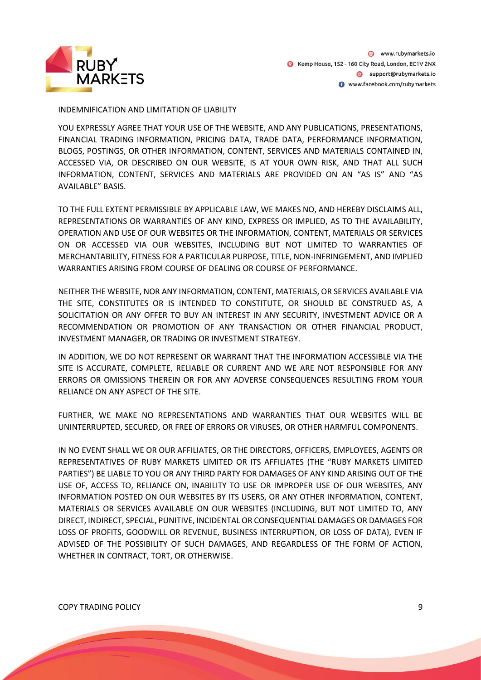

#### INDEMNIFICATION AND LIMITATION OF LIABILITY

YOU EXPRESSLY AGREE THAT YOUR USE OF THE WEBSITE, AND ANY PUBLICATIONS, PRESENTATIONS, FINANCIAL TRADING INFORMATION, PRICING DATA, TRADE DATA, PERFORMANCE INFORMATION, BLOGS, POSTINGS, OR OTHER INFORMATION, CONTENT, SERVICES AND MATERIALS CONTAINED IN, ACCESSED VIA, OR DESCRIBED ON OUR WEBSITE, IS AT YOUR OWN RISK, AND THAT ALL SUCH INFORMATION, CONTENT, SERVICES AND MATERIALS ARE PROVIDED ON AN "AS IS" AND "AS AVAILABLE" BASIS.

TO THE FULL EXTENT PERMISSIBLE BY APPLICABLE LAW, WE MAKES NO, AND HEREBY DISCLAIMS ALL, REPRESENTATIONS OR WARRANTIES OF ANY KIND, EXPRESS OR IMPLIED, AS TO THE AVAILABILITY, OPERATION AND USE OF OUR WEBSITES OR THE INFORMATION, CONTENT, MATERIALS OR SERVICES ON OR ACCESSED VIA OUR WEBSITES, INCLUDING BUT NOT LIMITED TO WARRANTIES OF MERCHANTABILITY, FITNESS FOR A PARTICULAR PURPOSE, TITLE, NON-INFRINGEMENT, AND IMPLIED WARRANTIES ARISING FROM COURSE OF DEALING OR COURSE OF PERFORMANCE.

NEITHER THE WEBSITE, NOR ANY INFORMATION, CONTENT, MATERIALS, OR SERVICES AVAILABLE VIA THE SITE, CONSTITUTES OR IS INTENDED TO CONSTITUTE, OR SHOULD BE CONSTRUED AS, A SOLICITATION OR ANY OFFER TO BUY AN INTEREST IN ANY SECURITY, INVESTMENT ADVICE OR A RECOMMENDATION OR PROMOTION OF ANY TRANSACTION OR OTHER FINANCIAL PRODUCT, INVESTMENT MANAGER, OR TRADING OR INVESTMENT STRATEGY.

IN ADDITION, WE DO NOT REPRESENT OR WARRANT THAT THE INFORMATION ACCESSIBLE VIA THE SITE IS ACCURATE, COMPLETE, RELIABLE OR CURRENT AND WE ARE NOT RESPONSIBLE FOR ANY ERRORS OR OMISSIONS THEREIN OR FOR ANY ADVERSE CONSEQUENCES RESULTING FROM YOUR RELIANCE ON ANY ASPECT OF THE SITE.

FURTHER, WE MAKE NO REPRESENTATIONS AND WARRANTIES THAT OUR WEBSITES WILL BE UNINTERRUPTED, SECURED, OR FREE OF ERRORS OR VIRUSES, OR OTHER HARMFUL COMPONENTS.

IN NO EVENT SHALL WE OR OUR AFFILIATES, OR THE DIRECTORS, OFFICERS, EMPLOYEES, AGENTS OR REPRESENTATIVES OF RUBY MARKETS LIMITED OR ITS AFFILIATES (THE "RUBY MARKETS LIMITED PARTIES") BE LIABLE TO YOU OR ANY THIRD PARTY FOR DAMAGES OF ANY KIND ARISING OUT OF THE USE OF, ACCESS TO, RELIANCE ON, INABILITY TO USE OR IMPROPER USE OF OUR WEBSITES, ANY INFORMATION POSTED ON OUR WEBSITES BY ITS USERS, OR ANY OTHER INFORMATION, CONTENT, MATERIALS OR SERVICES AVAILABLE ON OUR WEBSITES (INCLUDING, BUT NOT LIMITED TO, ANY DIRECT, INDIRECT, SPECIAL, PUNITIVE, INCIDENTAL OR CONSEQUENTIAL DAMAGES OR DAMAGES FOR LOSS OF PROFITS, GOODWILL OR REVENUE, BUSINESS INTERRUPTION, OR LOSS OF DATA), EVEN IF ADVISED OF THE POSSIBILITY OF SUCH DAMAGES, AND REGARDLESS OF THE FORM OF ACTION, WHETHER IN CONTRACT, TORT, OR OTHERWISE.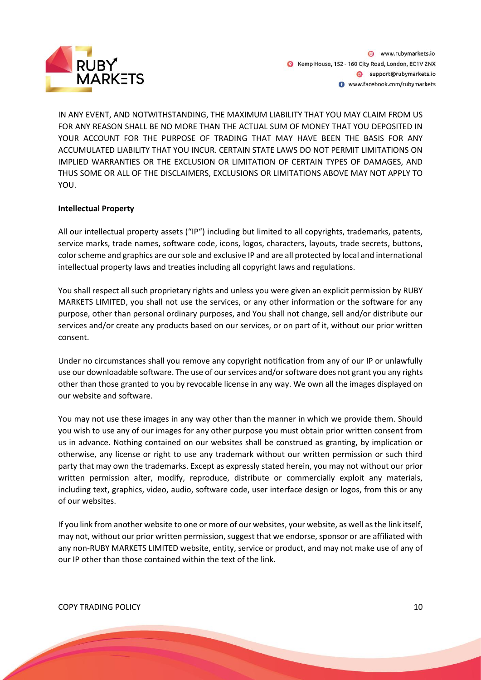

IN ANY EVENT, AND NOTWITHSTANDING, THE MAXIMUM LIABILITY THAT YOU MAY CLAIM FROM US FOR ANY REASON SHALL BE NO MORE THAN THE ACTUAL SUM OF MONEY THAT YOU DEPOSITED IN YOUR ACCOUNT FOR THE PURPOSE OF TRADING THAT MAY HAVE BEEN THE BASIS FOR ANY ACCUMULATED LIABILITY THAT YOU INCUR. CERTAIN STATE LAWS DO NOT PERMIT LIMITATIONS ON IMPLIED WARRANTIES OR THE EXCLUSION OR LIMITATION OF CERTAIN TYPES OF DAMAGES, AND THUS SOME OR ALL OF THE DISCLAIMERS, EXCLUSIONS OR LIMITATIONS ABOVE MAY NOT APPLY TO YOU.

#### **Intellectual Property**

All our intellectual property assets ("IP") including but limited to all copyrights, trademarks, patents, service marks, trade names, software code, icons, logos, characters, layouts, trade secrets, buttons, color scheme and graphics are our sole and exclusive IP and are all protected by local and international intellectual property laws and treaties including all copyright laws and regulations.

You shall respect all such proprietary rights and unless you were given an explicit permission by RUBY MARKETS LIMITED, you shall not use the services, or any other information or the software for any purpose, other than personal ordinary purposes, and You shall not change, sell and/or distribute our services and/or create any products based on our services, or on part of it, without our prior written consent.

Under no circumstances shall you remove any copyright notification from any of our IP or unlawfully use our downloadable software. The use of our services and/or software does not grant you any rights other than those granted to you by revocable license in any way. We own all the images displayed on our website and software.

You may not use these images in any way other than the manner in which we provide them. Should you wish to use any of our images for any other purpose you must obtain prior written consent from us in advance. Nothing contained on our websites shall be construed as granting, by implication or otherwise, any license or right to use any trademark without our written permission or such third party that may own the trademarks. Except as expressly stated herein, you may not without our prior written permission alter, modify, reproduce, distribute or commercially exploit any materials, including text, graphics, video, audio, software code, user interface design or logos, from this or any of our websites.

If you link from another website to one or more of our websites, your website, as well as the link itself, may not, without our prior written permission, suggest that we endorse, sponsor or are affiliated with any non-RUBY MARKETS LIMITED website, entity, service or product, and may not make use of any of our IP other than those contained within the text of the link.

#### COPY TRADING POLICY 2008 10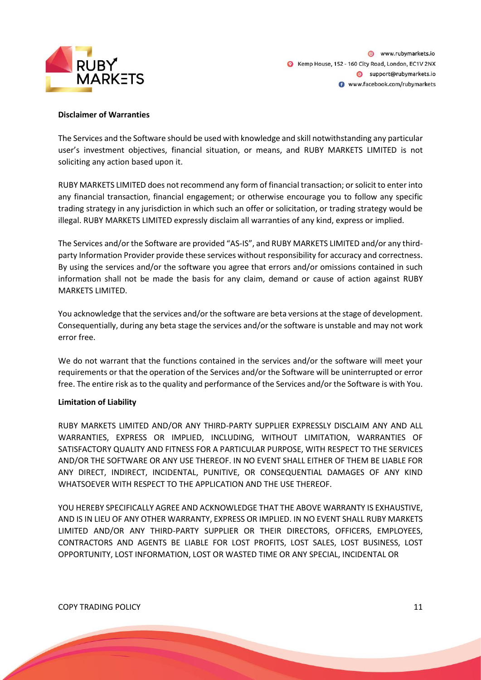

#### **Disclaimer of Warranties**

The Services and the Software should be used with knowledge and skill notwithstanding any particular user's investment objectives, financial situation, or means, and RUBY MARKETS LIMITED is not soliciting any action based upon it.

RUBY MARKETS LIMITED does not recommend any form of financial transaction; or solicit to enter into any financial transaction, financial engagement; or otherwise encourage you to follow any specific trading strategy in any jurisdiction in which such an offer or solicitation, or trading strategy would be illegal. RUBY MARKETS LIMITED expressly disclaim all warranties of any kind, express or implied.

The Services and/or the Software are provided "AS-IS", and RUBY MARKETS LIMITED and/or any thirdparty Information Provider provide these services without responsibility for accuracy and correctness. By using the services and/or the software you agree that errors and/or omissions contained in such information shall not be made the basis for any claim, demand or cause of action against RUBY MARKETS LIMITED.

You acknowledge that the services and/or the software are beta versions at the stage of development. Consequentially, during any beta stage the services and/or the software is unstable and may not work error free.

We do not warrant that the functions contained in the services and/or the software will meet your requirements or that the operation of the Services and/or the Software will be uninterrupted or error free. The entire risk as to the quality and performance of the Services and/or the Software is with You.

#### **Limitation of Liability**

RUBY MARKETS LIMITED AND/OR ANY THIRD-PARTY SUPPLIER EXPRESSLY DISCLAIM ANY AND ALL WARRANTIES, EXPRESS OR IMPLIED, INCLUDING, WITHOUT LIMITATION, WARRANTIES OF SATISFACTORY QUALITY AND FITNESS FOR A PARTICULAR PURPOSE, WITH RESPECT TO THE SERVICES AND/OR THE SOFTWARE OR ANY USE THEREOF. IN NO EVENT SHALL EITHER OF THEM BE LIABLE FOR ANY DIRECT, INDIRECT, INCIDENTAL, PUNITIVE, OR CONSEQUENTIAL DAMAGES OF ANY KIND WHATSOEVER WITH RESPECT TO THE APPLICATION AND THE USE THEREOF.

YOU HEREBY SPECIFICALLY AGREE AND ACKNOWLEDGE THAT THE ABOVE WARRANTY IS EXHAUSTIVE, AND IS IN LIEU OF ANY OTHER WARRANTY, EXPRESS OR IMPLIED. IN NO EVENT SHALL RUBY MARKETS LIMITED AND/OR ANY THIRD-PARTY SUPPLIER OR THEIR DIRECTORS, OFFICERS, EMPLOYEES, CONTRACTORS AND AGENTS BE LIABLE FOR LOST PROFITS, LOST SALES, LOST BUSINESS, LOST OPPORTUNITY, LOST INFORMATION, LOST OR WASTED TIME OR ANY SPECIAL, INCIDENTAL OR